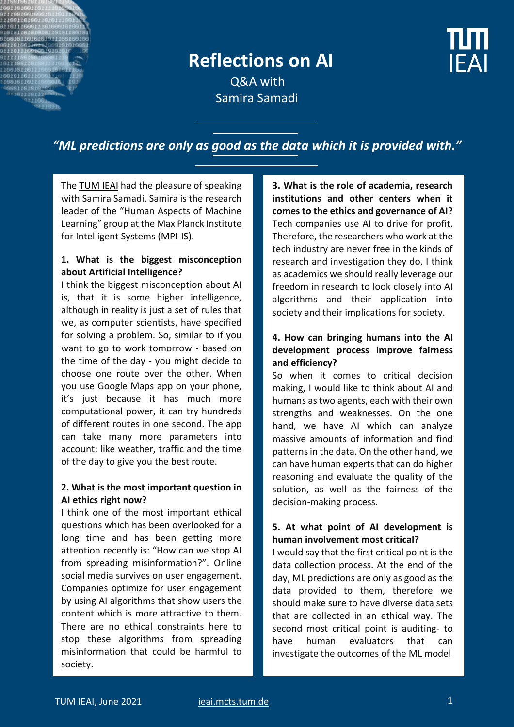# **Reflections on AI**

**IFAI** 

 Q&A with Samira Samadi

## *"ML predictions are only as good as the data which it is provided with."*

Th[e TUM IEAI](https://ieai.mcts.tum.de/) had the pleasure of speaking with Samira Samadi. Samira is the research leader of the "Human Aspects of Machine Learning" group at the Max Planck Institute for Intelligent Systems [\(MPI-IS\)](https://is.mpg.de/).

#### **1. What is the biggest misconception about Artificial Intelligence?**

I think the biggest misconception about AI is, that it is some higher intelligence, although in reality is just a set of rules that we, as computer scientists, have specified for solving a problem. So, similar to if you want to go to work tomorrow - based on the time of the day - you might decide to choose one route over the other. When you use Google Maps app on your phone, it's just because it has much more computational power, it can try hundreds of different routes in one second. The app can take many more parameters into account: like weather, traffic and the time of the day to give you the best route.

#### **2. What is the most important question in AI ethics right now?**

I think one of the most important ethical questions which has been overlooked for a long time and has been getting more attention recently is: "How can we stop AI from spreading misinformation?". Online social media survives on user engagement. Companies optimize for user engagement by using AI algorithms that show users the content which is more attractive to them. There are no ethical constraints here to stop these algorithms from spreading misinformation that could be harmful to society.

**3. What is the role of academia, research institutions and other centers when it comes to the ethics and governance of AI?** Tech companies use AI to drive for profit. Therefore, the researchers who work at the tech industry are never free in the kinds of research and investigation they do. I think as academics we should really leverage our freedom in research to look closely into AI algorithms and their application into society and their implications for society.

#### **4. How can bringing humans into the AI development process improve fairness and efficiency?**

So when it comes to critical decision making, I would like to think about AI and humans as two agents, each with their own strengths and weaknesses. On the one hand, we have AI which can analyze massive amounts of information and find patterns in the data. On the other hand, we can have human experts that can do higher reasoning and evaluate the quality of the solution, as well as the fairness of the decision-making process.

#### **5. At what point of AI development is human involvement most critical?**

I would say that the first critical point is the data collection process. At the end of the day, ML predictions are only as good as the data provided to them, therefore we should make sure to have diverse data sets that are collected in an ethical way. The second most critical point is auditing- to have human evaluators that can investigate the outcomes of the ML model